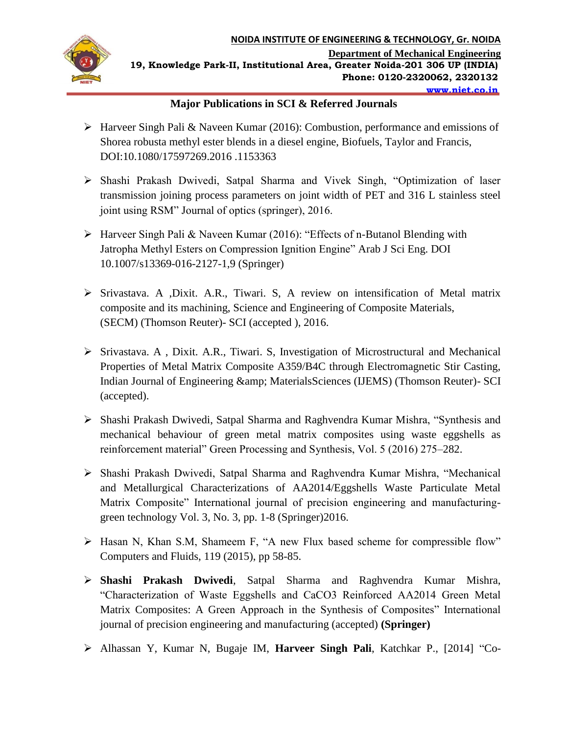

## **Major Publications in SCI & Referred Journals**

- $\triangleright$  Harveer Singh Pali & Naveen Kumar (2016): Combustion, performance and emissions of Shorea robusta methyl ester blends in a diesel engine, Biofuels, Taylor and Francis, DOI:10.1080/17597269.2016 .1153363
- Shashi Prakash Dwivedi, Satpal Sharma and Vivek Singh, "Optimization of laser transmission joining process parameters on joint width of PET and 316 L stainless steel joint using RSM" Journal of optics (springer), 2016.
- Harveer Singh Pali & Naveen Kumar (2016): "Effects of n-Butanol Blending with Jatropha Methyl Esters on Compression Ignition Engine" Arab J Sci Eng. DOI 10.1007/s13369-016-2127-1,9 (Springer)
- Srivastava. A ,Dixit. A.R., Tiwari. S, A review on intensification of Metal matrix composite and its machining, Science and Engineering of Composite Materials, (SECM) (Thomson Reuter)- SCI (accepted ), 2016.
- Srivastava. A , Dixit. A.R., Tiwari. S, Investigation of Microstructural and Mechanical Properties of Metal Matrix Composite A359/B4C through Electromagnetic Stir Casting, Indian Journal of Engineering & amp; Materials Sciences (IJEMS) (Thomson Reuter)- SCI (accepted).
- Shashi Prakash Dwivedi, Satpal Sharma and Raghvendra Kumar Mishra, "Synthesis and mechanical behaviour of green metal matrix composites using waste eggshells as reinforcement material" Green Processing and Synthesis, Vol. 5 (2016) 275–282.
- Shashi Prakash Dwivedi, Satpal Sharma and Raghvendra Kumar Mishra, "Mechanical and Metallurgical Characterizations of AA2014/Eggshells Waste Particulate Metal Matrix Composite" International journal of precision engineering and manufacturinggreen technology Vol. 3, No. 3, pp. 1-8 (Springer)2016.
- Hasan N, Khan S.M, Shameem F, "A new Flux based scheme for compressible flow" Computers and Fluids, 119 (2015), pp 58-85.
- **Shashi Prakash Dwivedi**, Satpal Sharma and Raghvendra Kumar Mishra, "Characterization of Waste Eggshells and CaCO3 Reinforced AA2014 Green Metal Matrix Composites: A Green Approach in the Synthesis of Composites" International journal of precision engineering and manufacturing (accepted) **(Springer)**
- Alhassan Y, Kumar N, Bugaje IM, **Harveer Singh Pali**, Katchkar P., [2014] "Co-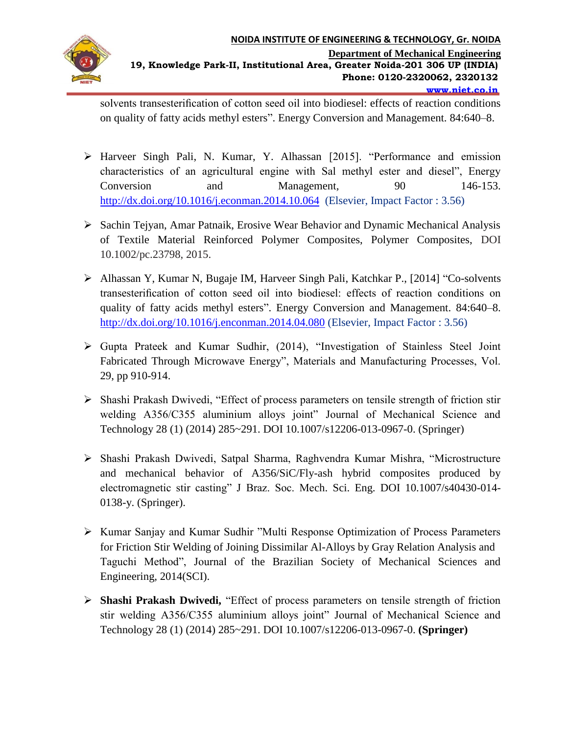

solvents transesterification of cotton seed oil into biodiesel: effects of reaction conditions on quality of fatty acids methyl esters". Energy Conversion and Management. 84:640–8.

- Harveer Singh Pali, N. Kumar, Y. Alhassan [2015]. "Performance and emission characteristics of an agricultural engine with Sal methyl ester and diesel", Energy Conversion and Management*,* 90 146-153. <http://dx.doi.org/10.1016/j.econman.2014.10.064>(Elsevier, Impact Factor : 3.56)
- $\triangleright$  Sachin Tejyan, Amar Patnaik, Erosive Wear Behavior and Dynamic Mechanical Analysis of Textile Material Reinforced Polymer Composites, Polymer Composites, DOI 10.1002/pc.23798, 2015.
- Alhassan Y, Kumar N, Bugaje IM, Harveer Singh Pali, Katchkar P., [2014] "Co-solvents transesterification of cotton seed oil into biodiesel: effects of reaction conditions on quality of fatty acids methyl esters". Energy Conversion and Management. 84:640–8. <http://dx.doi.org/10.1016/j.enconman.2014.04.080> (Elsevier, Impact Factor : 3.56)
- Gupta Prateek and Kumar Sudhir, (2014), "Investigation of Stainless Steel Joint Fabricated Through Microwave Energy", Materials and Manufacturing Processes, Vol. 29, pp 910-914.
- Shashi Prakash Dwivedi, "Effect of process parameters on tensile strength of friction stir welding A356/C355 aluminium alloys joint" Journal of Mechanical Science and Technology 28 (1) (2014) 285~291. DOI 10.1007/s12206-013-0967-0. (Springer)
- Shashi Prakash Dwivedi, Satpal Sharma, Raghvendra Kumar Mishra, "Microstructure and mechanical behavior of A356/SiC/Fly-ash hybrid composites produced by electromagnetic stir casting" J Braz. Soc. Mech. Sci. Eng. DOI 10.1007/s40430-014- 0138-y. (Springer).
- $\triangleright$  Kumar Sanjay and Kumar Sudhir "Multi Response Optimization of Process Parameters for Friction Stir Welding of Joining Dissimilar Al-Alloys by Gray Relation Analysis and Taguchi Method", Journal of the Brazilian Society of Mechanical Sciences and Engineering, 2014(SCI).
- **Shashi Prakash Dwivedi,** "Effect of process parameters on tensile strength of friction stir welding A356/C355 aluminium alloys joint" Journal of Mechanical Science and Technology 28 (1) (2014) 285~291. DOI 10.1007/s12206-013-0967-0. **(Springer)**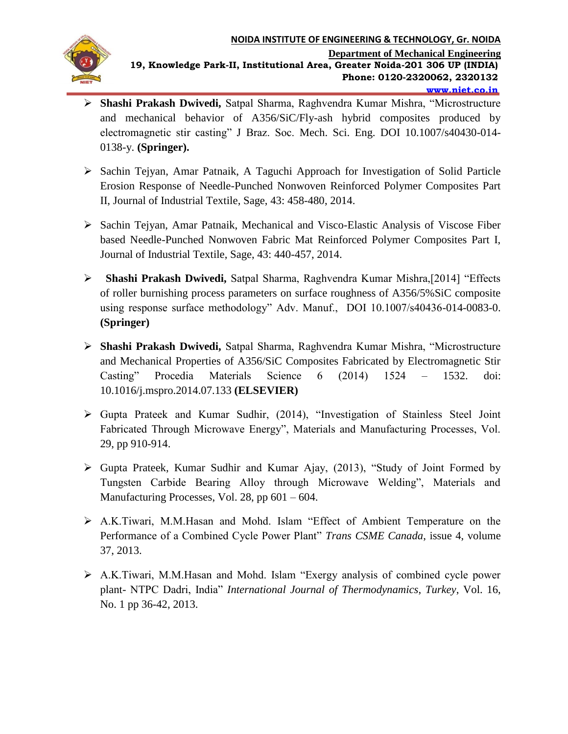

- **Shashi Prakash Dwivedi,** Satpal Sharma, Raghvendra Kumar Mishra, "Microstructure and mechanical behavior of A356/SiC/Fly-ash hybrid composites produced by electromagnetic stir casting" J Braz. Soc. Mech. Sci. Eng. DOI 10.1007/s40430-014- 0138-y. **(Springer).**
- Sachin Tejyan, Amar Patnaik, A Taguchi Approach for Investigation of Solid Particle Erosion Response of Needle-Punched Nonwoven Reinforced Polymer Composites Part II, Journal of Industrial Textile, Sage, 43: 458-480, 2014.
- $\triangleright$  Sachin Tejyan, Amar Patnaik, Mechanical and Visco-Elastic Analysis of Viscose Fiber based Needle-Punched Nonwoven Fabric Mat Reinforced Polymer Composites Part I, Journal of Industrial Textile, Sage, 43: 440-457, 2014.
- **Shashi Prakash Dwivedi,** Satpal Sharma, Raghvendra Kumar Mishra,[2014] "Effects of roller burnishing process parameters on surface roughness of A356/5%SiC composite using response surface methodology" Adv. Manuf., DOI 10.1007/s40436-014-0083-0. **(Springer)**
- **Shashi Prakash Dwivedi,** Satpal Sharma, Raghvendra Kumar Mishra, "Microstructure and Mechanical Properties of A356/SiC Composites Fabricated by Electromagnetic Stir Casting" Procedia Materials Science 6 (2014) 1524 – 1532. doi: 10.1016/j.mspro.2014.07.133 **(ELSEVIER)**
- Gupta Prateek and Kumar Sudhir, (2014), "Investigation of Stainless Steel Joint Fabricated Through Microwave Energy", Materials and Manufacturing Processes, Vol. 29, pp 910-914.
- Gupta Prateek, Kumar Sudhir and Kumar Ajay, (2013), "Study of Joint Formed by Tungsten Carbide Bearing Alloy through Microwave Welding", Materials and Manufacturing Processes, Vol. 28, pp 601 – 604.
- A.K.Tiwari, M.M.Hasan and Mohd. Islam "Effect of Ambient Temperature on the Performance of a Combined Cycle Power Plant" *Trans CSME Canada*, issue 4, volume 37, 2013.
- A.K.Tiwari, M.M.Hasan and Mohd. Islam "Exergy analysis of combined cycle power plant- NTPC Dadri, India" *International Journal of Thermodynamics*, *Turkey*, Vol. 16, No. 1 pp 36-42, 2013.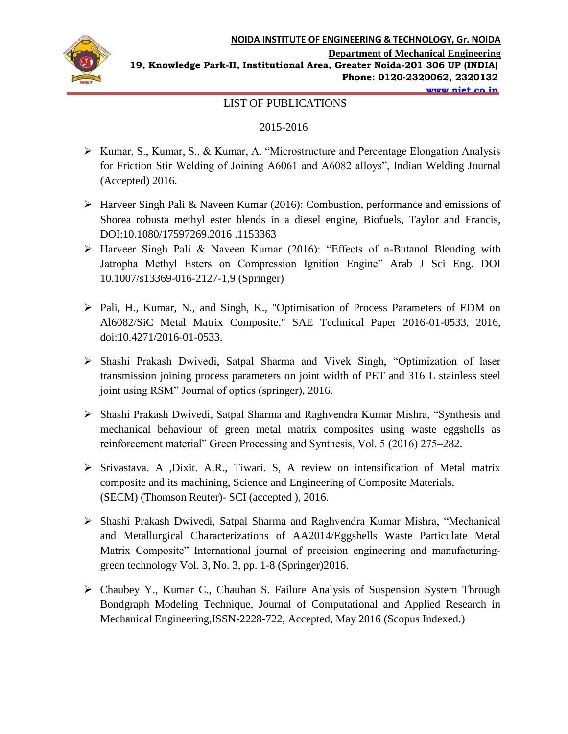

**www.niet.co.in**

**19, Knowledge Park-II, Institutional Area, Greater Noida-201 306 UP (INDIA) Phone: 0120-2320062, 2320132**

### LIST OF PUBLICATIONS

#### 2015-2016

- Kumar, S., Kumar, S., & Kumar, A. "Microstructure and Percentage Elongation Analysis for Friction Stir Welding of Joining A6061 and A6082 alloys", Indian Welding Journal (Accepted) 2016.
- Harveer Singh Pali & Naveen Kumar (2016): Combustion, performance and emissions of Shorea robusta methyl ester blends in a diesel engine, Biofuels, Taylor and Francis, DOI:10.1080/17597269.2016 .1153363
- Harveer Singh Pali & Naveen Kumar (2016): "Effects of n-Butanol Blending with Jatropha Methyl Esters on Compression Ignition Engine" Arab J Sci Eng. DOI 10.1007/s13369-016-2127-1,9 (Springer)
- Pali, H., Kumar, N., and Singh, K., "Optimisation of Process Parameters of EDM on Al6082/SiC Metal Matrix Composite," SAE Technical Paper 2016-01-0533, 2016, doi:10.4271/2016-01-0533.
- Shashi Prakash Dwivedi, Satpal Sharma and Vivek Singh, "Optimization of laser transmission joining process parameters on joint width of PET and 316 L stainless steel joint using RSM" Journal of optics (springer), 2016.
- Shashi Prakash Dwivedi, Satpal Sharma and Raghvendra Kumar Mishra, "Synthesis and mechanical behaviour of green metal matrix composites using waste eggshells as reinforcement material" Green Processing and Synthesis, Vol. 5 (2016) 275–282.
- Srivastava. A ,Dixit. A.R., Tiwari. S, A review on intensification of Metal matrix composite and its machining, Science and Engineering of Composite Materials, (SECM) (Thomson Reuter)- SCI (accepted ), 2016.
- Shashi Prakash Dwivedi, Satpal Sharma and Raghvendra Kumar Mishra, "Mechanical and Metallurgical Characterizations of AA2014/Eggshells Waste Particulate Metal Matrix Composite" International journal of precision engineering and manufacturinggreen technology Vol. 3, No. 3, pp. 1-8 (Springer)2016.
- Chaubey Y., Kumar C., Chauhan S. Failure Analysis of Suspension System Through Bondgraph Modeling Technique, Journal of Computational and Applied Research in Mechanical Engineering,ISSN-2228-722, Accepted, May 2016 (Scopus Indexed.)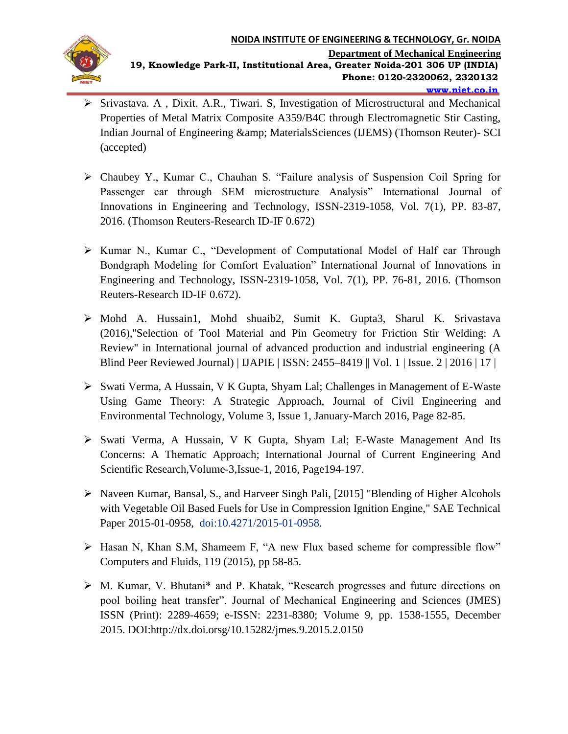

- $\triangleright$  Srivastava. A, Dixit. A.R., Tiwari. S, Investigation of Microstructural and Mechanical Properties of Metal Matrix Composite A359/B4C through Electromagnetic Stir Casting, Indian Journal of Engineering & amp; Materials Sciences (IJEMS) (Thomson Reuter)- SCI (accepted)
- Chaubey Y., Kumar C., Chauhan S. "Failure analysis of Suspension Coil Spring for Passenger car through SEM microstructure Analysis" International Journal of Innovations in Engineering and Technology, ISSN-2319-1058, Vol. 7(1), PP. 83-87, 2016. (Thomson Reuters-Research ID-IF 0.672)
- Kumar N., Kumar C., "Development of Computational Model of Half car Through Bondgraph Modeling for Comfort Evaluation" International Journal of Innovations in Engineering and Technology, ISSN-2319-1058, Vol. 7(1), PP. 76-81, 2016. (Thomson Reuters-Research ID-IF 0.672).
- Mohd A. Hussain1, Mohd shuaib2, Sumit K. Gupta3, Sharul K. Srivastava (2016),''Selection of Tool Material and Pin Geometry for Friction Stir Welding: A Review'' in International journal of advanced production and industrial engineering (A Blind Peer Reviewed Journal) | IJAPIE | ISSN: 2455–8419 || Vol. 1 | Issue. 2 | 2016 | 17 |
- Swati Verma, A Hussain, V K Gupta, Shyam Lal; Challenges in Management of E-Waste Using Game Theory: A Strategic Approach, Journal of Civil Engineering and Environmental Technology, Volume 3, Issue 1, January-March 2016, Page 82-85.
- Swati Verma, A Hussain, V K Gupta, Shyam Lal; E-Waste Management And Its Concerns: A Thematic Approach; International Journal of Current Engineering And Scientific Research,Volume-3,Issue-1, 2016, Page194-197.
- ▶ Naveen Kumar, Bansal, S., and Harveer Singh Pali, [2015] "Blending of Higher Alcohols with Vegetable Oil Based Fuels for Use in Compression Ignition Engine," SAE Technical Paper 2015-01-0958, doi:10.4271/2015-01-0958.
- Hasan N, Khan S.M, Shameem F, "A new Flux based scheme for compressible flow" Computers and Fluids, 119 (2015), pp 58-85.
- M. Kumar, V. Bhutani\* and P. Khatak, "Research progresses and future directions on pool boiling heat transfer". Journal of Mechanical Engineering and Sciences (JMES) ISSN (Print): 2289-4659; e-ISSN: 2231-8380; Volume 9, pp. 1538-1555, December 2015. DOI:http://dx.doi.orsg/10.15282/jmes.9.2015.2.0150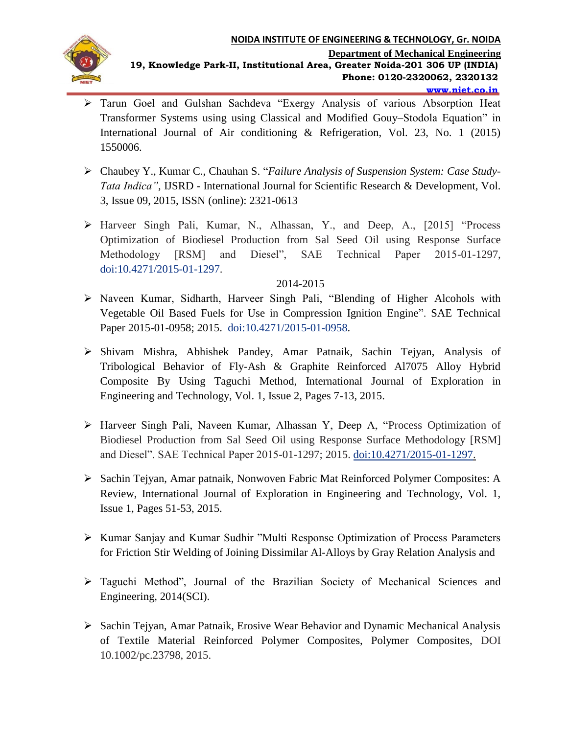

- Tarun Goel and Gulshan Sachdeva "Exergy Analysis of various Absorption Heat Transformer Systems using using Classical and Modified Gouy–Stodola Equation" in International Journal of Air conditioning & Refrigeration, Vol. 23, No. 1 (2015) 1550006.
- Chaubey Y., Kumar C., Chauhan S. "*Failure Analysis of Suspension System: Case Study-Tata Indica",* IJSRD - International Journal for Scientific Research & Development, Vol. 3, Issue 09, 2015, ISSN (online): 2321-0613
- Harveer Singh Pali, Kumar, N., Alhassan, Y., and Deep, A., [2015] "Process Optimization of Biodiesel Production from Sal Seed Oil using Response Surface Methodology [RSM] and Diesel", SAE Technical Paper 2015-01-1297, doi:10.4271/2015-01-1297.

## 2014-2015

- Naveen Kumar, Sidharth, Harveer Singh Pali, "Blending of Higher Alcohols with Vegetable Oil Based Fuels for Use in Compression Ignition Engine". SAE Technical Paper 2015-01-0958; 2015. doi:10.4271/2015-01-0958.
- Shivam Mishra, Abhishek Pandey, Amar Patnaik, Sachin Tejyan, Analysis of Tribological Behavior of Fly-Ash & Graphite Reinforced Al7075 Alloy Hybrid Composite By Using Taguchi Method, International Journal of Exploration in Engineering and Technology, Vol. 1, Issue 2, Pages 7-13, 2015.
- Harveer Singh Pali, Naveen Kumar, Alhassan Y, Deep A, "Process Optimization of Biodiesel Production from Sal Seed Oil using Response Surface Methodology [RSM] and Diesel". SAE Technical Paper 2015-01-1297; 2015. doi:10.4271/2015-01-1297.
- Sachin Tejyan, Amar patnaik, Nonwoven Fabric Mat Reinforced Polymer Composites: A Review, International Journal of Exploration in Engineering and Technology, Vol. 1, Issue 1, Pages 51-53, 2015.
- Kumar Sanjay and Kumar Sudhir "Multi Response Optimization of Process Parameters for Friction Stir Welding of Joining Dissimilar Al-Alloys by Gray Relation Analysis and
- Taguchi Method", Journal of the Brazilian Society of Mechanical Sciences and Engineering, 2014(SCI).
- Sachin Tejyan, Amar Patnaik, Erosive Wear Behavior and Dynamic Mechanical Analysis of Textile Material Reinforced Polymer Composites, Polymer Composites, DOI 10.1002/pc.23798, 2015.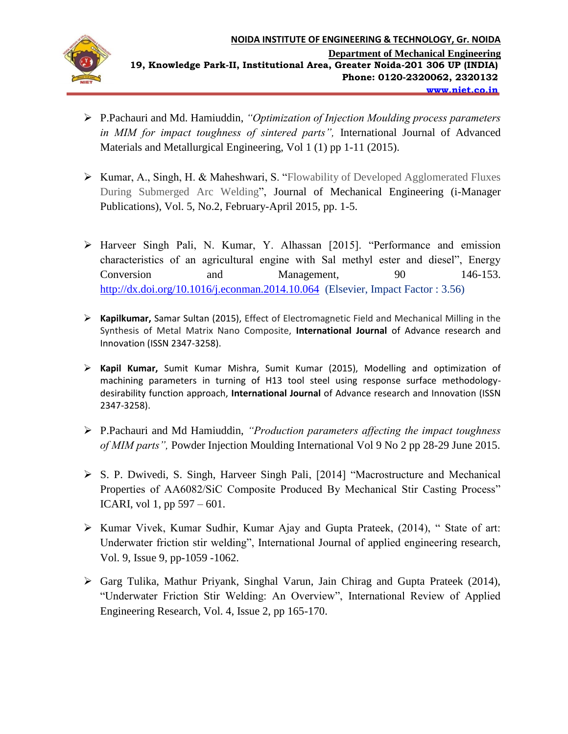

- P.Pachauri and Md. Hamiuddin, *"Optimization of Injection Moulding process parameters in MIM for impact toughness of sintered parts",* International Journal of Advanced Materials and Metallurgical Engineering, Vol 1 (1) pp 1-11 (2015).
- Kumar, A., Singh, H. & Maheshwari, S. "Flowability of Developed Agglomerated Fluxes During Submerged Arc Welding", Journal of Mechanical Engineering (i-Manager Publications), Vol. 5, No.2, February-April 2015, pp. 1-5.
- Harveer Singh Pali, N. Kumar, Y. Alhassan [2015]. "Performance and emission characteristics of an agricultural engine with Sal methyl ester and diesel", Energy Conversion and Management*,* 90 146-153. <http://dx.doi.org/10.1016/j.econman.2014.10.064>(Elsevier, Impact Factor : 3.56)
- **Kapilkumar,** Samar Sultan (2015), Effect of Electromagnetic Field and Mechanical Milling in the Synthesis of Metal Matrix Nano Composite, **International Journal** of Advance research and Innovation (ISSN 2347-3258).
- **Kapil Kumar,** Sumit Kumar Mishra, Sumit Kumar (2015), Modelling and optimization of machining parameters in turning of H13 tool steel using response surface methodologydesirability function approach, **International Journal** of Advance research and Innovation (ISSN 2347-3258).
- P.Pachauri and Md Hamiuddin, *"Production parameters affecting the impact toughness of MIM parts",* Powder Injection Moulding International Vol 9 No 2 pp 28-29 June 2015.
- S. P. Dwivedi, S. Singh, Harveer Singh Pali, [2014] "Macrostructure and Mechanical Properties of AA6082/SiC Composite Produced By Mechanical Stir Casting Process" ICARI, vol 1, pp 597 – 601.
- $\triangleright$  Kumar Vivek, Kumar Sudhir, Kumar Ajay and Gupta Prateek, (2014), "State of art: Underwater friction stir welding", International Journal of applied engineering research, Vol. 9, Issue 9, pp-1059 -1062.
- Garg Tulika, Mathur Priyank, Singhal Varun, Jain Chirag and Gupta Prateek (2014), "Underwater Friction Stir Welding: An Overview", International Review of Applied Engineering Research, Vol. 4, Issue 2, pp 165-170.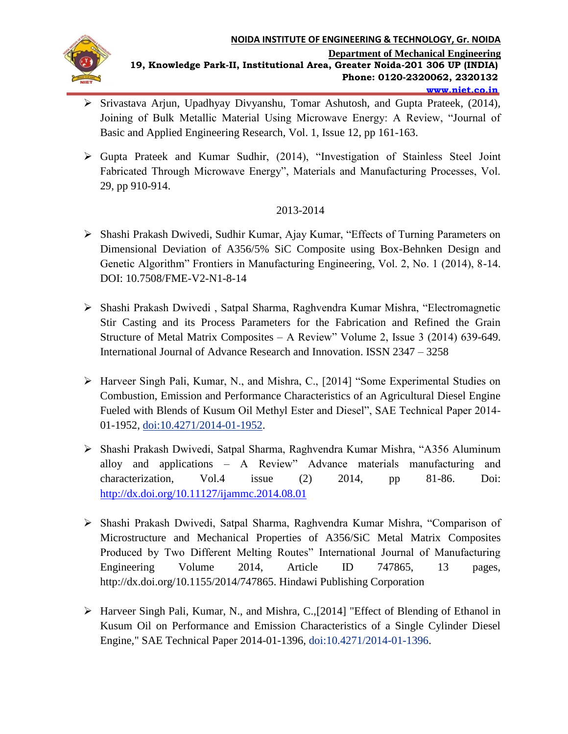

- Srivastava Arjun, Upadhyay Divyanshu, Tomar Ashutosh, and Gupta Prateek, (2014), Joining of Bulk Metallic Material Using Microwave Energy: A Review, "Journal of Basic and Applied Engineering Research, Vol. 1, Issue 12, pp 161-163.
- Gupta Prateek and Kumar Sudhir, (2014), "Investigation of Stainless Steel Joint Fabricated Through Microwave Energy", Materials and Manufacturing Processes, Vol. 29, pp 910-914.

# 2013-2014

- Shashi Prakash Dwivedi, Sudhir Kumar, Ajay Kumar, "Effects of Turning Parameters on Dimensional Deviation of A356/5% SiC Composite using Box-Behnken Design and Genetic Algorithm" Frontiers in Manufacturing Engineering, Vol. 2, No. 1 (2014), 8-14. DOI: 10.7508/FME-V2-N1-8-14
- Shashi Prakash Dwivedi , Satpal Sharma, Raghvendra Kumar Mishra, "Electromagnetic Stir Casting and its Process Parameters for the Fabrication and Refined the Grain Structure of Metal Matrix Composites – A Review" Volume 2, Issue 3 (2014) 639-649. International Journal of Advance Research and Innovation. ISSN 2347 – 3258
- Harveer Singh Pali, Kumar, N., and Mishra, C., [2014] "Some Experimental Studies on Combustion, Emission and Performance Characteristics of an Agricultural Diesel Engine Fueled with Blends of Kusum Oil Methyl Ester and Diesel", SAE Technical Paper 2014- 01-1952, doi:10.4271/2014-01-1952.
- Shashi Prakash Dwivedi, Satpal Sharma, Raghvendra Kumar Mishra, "A356 Aluminum alloy and applications – A Review" Advance materials manufacturing and characterization, Vol.4 issue (2) 2014, pp 81-86. Doi: <http://dx.doi.org/10.11127/ijammc.2014.08.01>
- Shashi Prakash Dwivedi, Satpal Sharma, Raghvendra Kumar Mishra, "Comparison of Microstructure and Mechanical Properties of A356/SiC Metal Matrix Composites Produced by Two Different Melting Routes" International Journal of Manufacturing Engineering Volume 2014, Article ID 747865, 13 pages, http://dx.doi.org/10.1155/2014/747865. Hindawi Publishing Corporation
- Harveer Singh Pali, Kumar, N., and Mishra, C.,[2014] "Effect of Blending of Ethanol in Kusum Oil on Performance and Emission Characteristics of a Single Cylinder Diesel Engine," SAE Technical Paper 2014-01-1396, doi:10.4271/2014-01-1396.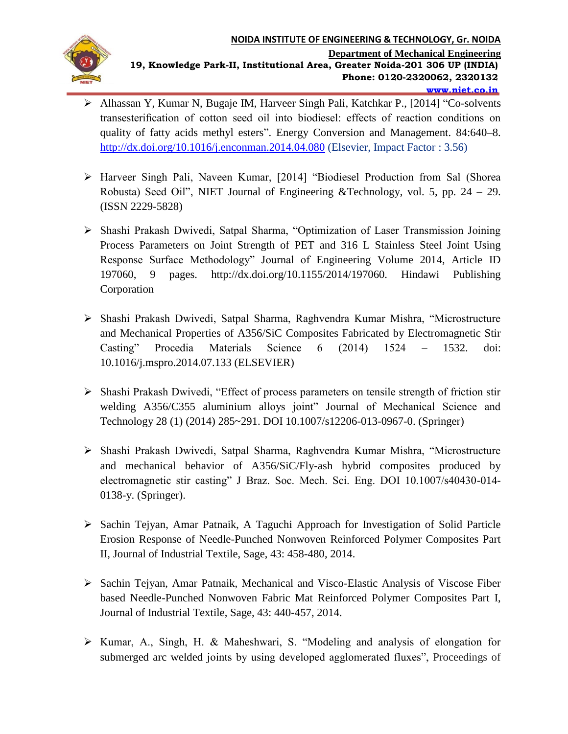

- Alhassan Y, Kumar N, Bugaje IM, Harveer Singh Pali, Katchkar P., [2014] "Co-solvents transesterification of cotton seed oil into biodiesel: effects of reaction conditions on quality of fatty acids methyl esters". Energy Conversion and Management. 84:640–8. <http://dx.doi.org/10.1016/j.enconman.2014.04.080> (Elsevier, Impact Factor : 3.56)
- Harveer Singh Pali, Naveen Kumar, [2014] "Biodiesel Production from Sal (Shorea Robusta) Seed Oil", NIET Journal of Engineering &Technology, vol. 5, pp.  $24 - 29$ . (ISSN 2229-5828)
- Shashi Prakash Dwivedi, Satpal Sharma, "Optimization of Laser Transmission Joining Process Parameters on Joint Strength of PET and 316 L Stainless Steel Joint Using Response Surface Methodology" Journal of Engineering Volume 2014, Article ID 197060, 9 pages. http://dx.doi.org/10.1155/2014/197060. Hindawi Publishing Corporation
- Shashi Prakash Dwivedi, Satpal Sharma, Raghvendra Kumar Mishra, "Microstructure and Mechanical Properties of A356/SiC Composites Fabricated by Electromagnetic Stir Casting" Procedia Materials Science 6 (2014) 1524 – 1532. doi: 10.1016/j.mspro.2014.07.133 (ELSEVIER)
- Shashi Prakash Dwivedi, "Effect of process parameters on tensile strength of friction stir welding A356/C355 aluminium alloys joint" Journal of Mechanical Science and Technology 28 (1) (2014) 285~291. DOI 10.1007/s12206-013-0967-0. (Springer)
- Shashi Prakash Dwivedi, Satpal Sharma, Raghvendra Kumar Mishra, "Microstructure and mechanical behavior of A356/SiC/Fly-ash hybrid composites produced by electromagnetic stir casting" J Braz. Soc. Mech. Sci. Eng. DOI 10.1007/s40430-014- 0138-y. (Springer).
- Sachin Tejyan, Amar Patnaik, A Taguchi Approach for Investigation of Solid Particle Erosion Response of Needle-Punched Nonwoven Reinforced Polymer Composites Part II, Journal of Industrial Textile, Sage, 43: 458-480, 2014.
- $\triangleright$  Sachin Tejyan, Amar Patnaik, Mechanical and Visco-Elastic Analysis of Viscose Fiber based Needle-Punched Nonwoven Fabric Mat Reinforced Polymer Composites Part I, Journal of Industrial Textile, Sage, 43: 440-457, 2014.
- Kumar, A., Singh, H. & Maheshwari, S. "Modeling and analysis of elongation for submerged arc welded joints by using developed agglomerated fluxes", Proceedings of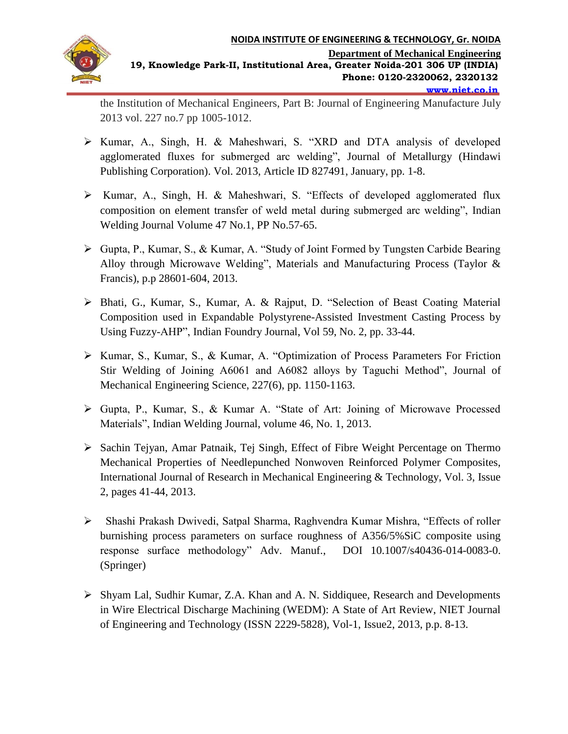

the Institution of Mechanical Engineers, Part B: Journal of Engineering Manufacture July 2013 vol. 227 no.7 pp 1005-1012.

- Kumar, A., Singh, H. & Maheshwari, S. "XRD and DTA analysis of developed agglomerated fluxes for submerged arc welding", Journal of Metallurgy (Hindawi Publishing Corporation). Vol. 2013, Article ID 827491, January, pp. 1-8.
- Kumar, A., Singh, H. & Maheshwari, S. "Effects of developed agglomerated flux composition on element transfer of weld metal during submerged arc welding", Indian Welding Journal Volume 47 No.1, PP No.57-65.
- Gupta, P., Kumar, S., & Kumar, A. "Study of Joint Formed by Tungsten Carbide Bearing Alloy through Microwave Welding", Materials and Manufacturing Process (Taylor & Francis), p.p 28601-604, 2013.
- Bhati, G., Kumar, S., Kumar, A. & Rajput, D. "Selection of Beast Coating Material Composition used in Expandable Polystyrene-Assisted Investment Casting Process by Using Fuzzy-AHP", Indian Foundry Journal, Vol 59, No. 2, pp. 33-44.
- Kumar, S., Kumar, S., & Kumar, A. "Optimization of Process Parameters For Friction Stir Welding of Joining A6061 and A6082 alloys by Taguchi Method", Journal of Mechanical Engineering Science, 227(6), pp. 1150-1163.
- Gupta, P., Kumar, S., & Kumar A. "State of Art: Joining of Microwave Processed Materials", Indian Welding Journal, volume 46, No. 1, 2013.
- Sachin Tejyan, Amar Patnaik, Tej Singh, Effect of Fibre Weight Percentage on Thermo Mechanical Properties of Needlepunched Nonwoven Reinforced Polymer Composites, International Journal of Research in Mechanical Engineering & Technology, Vol. 3, Issue 2, pages 41-44, 2013.
- Shashi Prakash Dwivedi, Satpal Sharma, Raghvendra Kumar Mishra, "Effects of roller burnishing process parameters on surface roughness of A356/5%SiC composite using response surface methodology" Adv. Manuf., DOI 10.1007/s40436-014-0083-0. (Springer)
- Shyam Lal, Sudhir Kumar, Z.A. Khan and A. N. Siddiquee, Research and Developments in Wire Electrical Discharge Machining (WEDM): A State of Art Review, NIET Journal of Engineering and Technology (ISSN 2229-5828), Vol-1, Issue2, 2013, p.p. 8-13.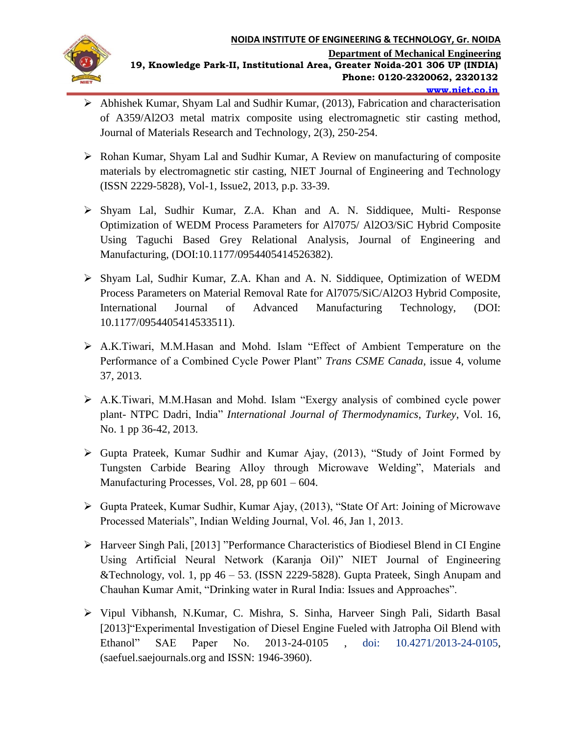

- Abhishek Kumar, Shyam Lal and Sudhir Kumar, (2013), Fabrication and characterisation of A359/Al2O3 metal matrix composite using electromagnetic stir casting method, Journal of Materials Research and Technology, 2(3), 250-254.
- Rohan Kumar, Shyam Lal and Sudhir Kumar, A Review on manufacturing of composite materials by electromagnetic stir casting, NIET Journal of Engineering and Technology (ISSN 2229-5828), Vol-1, Issue2, 2013, p.p. 33-39.
- Shyam Lal, Sudhir Kumar, Z.A. Khan and A. N. Siddiquee, Multi- Response Optimization of WEDM Process Parameters for Al7075/ Al2O3/SiC Hybrid Composite Using Taguchi Based Grey Relational Analysis, Journal of Engineering and Manufacturing, (DOI:10.1177/0954405414526382).
- Shyam Lal, Sudhir Kumar, Z.A. Khan and A. N. Siddiquee, Optimization of WEDM Process Parameters on Material Removal Rate for Al7075/SiC/Al2O3 Hybrid Composite, International Journal of Advanced Manufacturing Technology, (DOI: 10.1177/0954405414533511).
- A.K.Tiwari, M.M.Hasan and Mohd. Islam "Effect of Ambient Temperature on the Performance of a Combined Cycle Power Plant" *Trans CSME Canada*, issue 4, volume 37, 2013.
- A.K.Tiwari, M.M.Hasan and Mohd. Islam "Exergy analysis of combined cycle power plant- NTPC Dadri, India" *International Journal of Thermodynamics*, *Turkey*, Vol. 16, No. 1 pp 36-42, 2013.
- Gupta Prateek, Kumar Sudhir and Kumar Ajay, (2013), "Study of Joint Formed by Tungsten Carbide Bearing Alloy through Microwave Welding", Materials and Manufacturing Processes, Vol. 28, pp 601 – 604.
- $\triangleright$  Gupta Prateek, Kumar Sudhir, Kumar Ajay, (2013), "State Of Art: Joining of Microwave Processed Materials", Indian Welding Journal, Vol. 46, Jan 1, 2013.
- Harveer Singh Pali, [2013] "Performance Characteristics of Biodiesel Blend in CI Engine Using Artificial Neural Network (Karanja Oil)" NIET Journal of Engineering &Technology, vol. 1, pp 46 – 53. (ISSN 2229-5828). Gupta Prateek, Singh Anupam and Chauhan Kumar Amit, "Drinking water in Rural India: Issues and Approaches".
- Vipul Vibhansh, N.Kumar, C. Mishra, S. Sinha, Harveer Singh Pali, Sidarth Basal [2013]"Experimental Investigation of Diesel Engine Fueled with Jatropha Oil Blend with Ethanol" SAE Paper No. 2013-24-0105 , doi: 10.4271/2013-24-0105, (saefuel.saejournals.org and ISSN: 1946-3960).